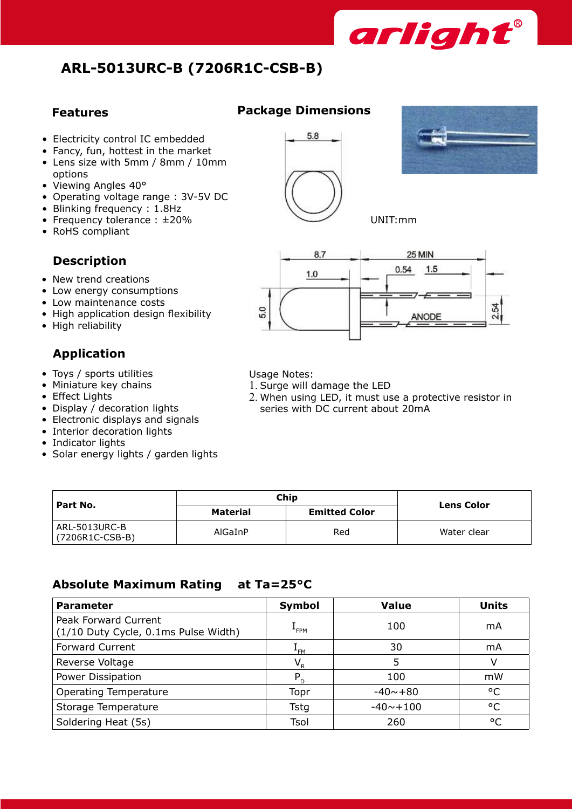

# **ARL-5013URC-B (7206R1C-CSB-B)**

#### **Features**

- Electricity control IC embedded
- Fancy, fun, hottest in the market
- • Lens size with 5mm / 8mm / 10mm options
- Viewing Angles 40°
- • Operating voltage range : 3V-5V DC
- Blinking frequency : 1.8Hz
- Frequency tolerance :  $\pm 20\%$
- RoHS compliant

### **Description**

- New trend creations
- Low energy consumptions
- Low maintenance costs
- High application design flexibility
- High reliability

### **Application**

- Toys / sports utilities
- Miniature key chains
- Effect Lights
- Display / decoration lights
- Electronic displays and signals
- Interior decoration lights
- Indicator lights
- Solar energy lights / garden lights







UNIT:mm



Usage Notes:

- 1. Surge will damage the LED
- 2. When using LED, it must use a protective resistor in series with DC current about 20mA

| Part No.                         | Chip            |                      |                   |
|----------------------------------|-----------------|----------------------|-------------------|
|                                  | <b>Material</b> | <b>Emitted Color</b> | <b>Lens Color</b> |
| ARL-5013URC-B<br>(7206R1C-CSB-B) | AlGaInP         | Red                  | Water clear       |

### **Absolute Maximum Rating at Ta=25°C**

| <b>Parameter</b>                                             | Symbol                    | <b>Value</b>   | <b>Units</b> |  |
|--------------------------------------------------------------|---------------------------|----------------|--------------|--|
| Peak Forward Current<br>(1/10 Duty Cycle, 0.1ms Pulse Width) | $\textbf{I}_{\text{FPM}}$ | 100            | mA           |  |
| <b>Forward Current</b>                                       | $-FM$                     | 30             | mA           |  |
| Reverse Voltage                                              | $V_{R}$                   | 5              |              |  |
| Power Dissipation                                            | $P_{D}$                   | 100            | mW           |  |
| <b>Operating Temperature</b>                                 | Topr                      | $-40 \sim +80$ | °C           |  |
| Storage Temperature                                          | Tstg                      | $-40 - +100$   | °C           |  |
| Soldering Heat (5s)                                          | Tsol                      | 260            | °C           |  |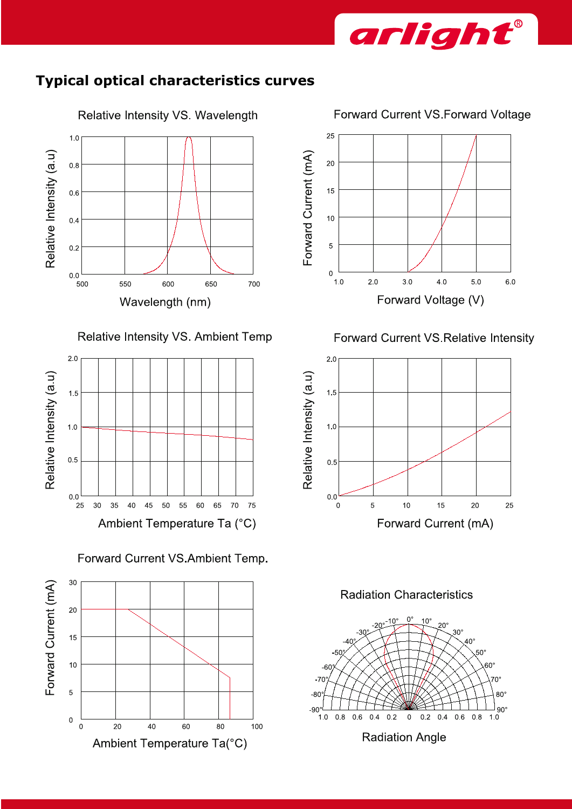

## **Typical optical characteristics curves**

Relative Intensity VS. Wavelength



Relative Intensity VS. Ambient Temp



Forward Current VS.Ambient Temp.





**Forward Current VS Relative Intensity**